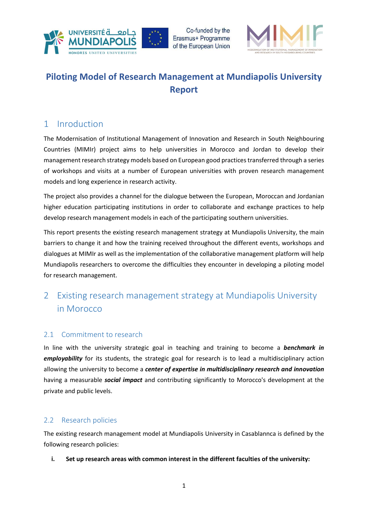



# Piloting Model of Research Management at Mundiapolis University Report

## 1 Inroduction

The Modernisation of Institutional Management of Innovation and Research in South Neighbouring Countries (MIMIr) project aims to help universities in Morocco and Jordan to develop their management research strategy models based on European good practices transferred through a series of workshops and visits at a number of European universities with proven research management models and long experience in research activity.

The project also provides a channel for the dialogue between the European, Moroccan and Jordanian higher education participating institutions in order to collaborate and exchange practices to help develop research management models in each of the participating southern universities.

This report presents the existing research management strategy at Mundiapolis University, the main barriers to change it and how the training received throughout the different events, workshops and dialogues at MIMIr as well as the implementation of the collaborative management platform will help Mundiapolis researchers to overcome the difficulties they encounter in developing a piloting model for research management.

## 2 Existing research management strategy at Mundiapolis University in Morocco

## 2.1 Commitment to research

In line with the university strategic goal in teaching and training to become a **benchmark in** employability for its students, the strategic goal for research is to lead a multidisciplinary action allowing the university to become a center of expertise in multidisciplinary research and innovation having a measurable *social impact* and contributing significantly to Morocco's development at the private and public levels.

## 2.2 Research policies

The existing research management model at Mundiapolis University in Casablannca is defined by the following research policies:

### i. Set up research areas with common interest in the different faculties of the university: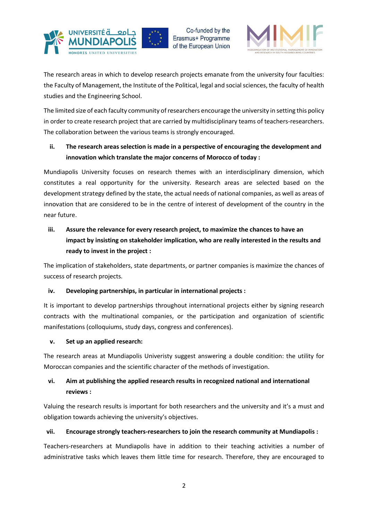

Co-funded by the Erasmus+ Programme of the European Union



The research areas in which to develop research projects emanate from the university four faculties: the Faculty of Management, the Institute of the Political, legal and social sciences, the faculty of health studies and the Engineering School.

The limited size of each faculty community of researchers encourage the university in setting this policy in order to create research project that are carried by multidisciplinary teams of teachers-researchers. The collaboration between the various teams is strongly encouraged.

## ii. The research areas selection is made in a perspective of encouraging the development and innovation which translate the major concerns of Morocco of today :

Mundiapolis University focuses on research themes with an interdisciplinary dimension, which constitutes a real opportunity for the university. Research areas are selected based on the development strategy defined by the state, the actual needs of national companies, as well as areas of innovation that are considered to be in the centre of interest of development of the country in the near future.

iii. Assure the relevance for every research project, to maximize the chances to have an impact by insisting on stakeholder implication, who are really interested in the results and ready to invest in the project :

The implication of stakeholders, state departments, or partner companies is maximize the chances of success of research projects.

### iv. Developing partnerships, in particular in international projects :

It is important to develop partnerships throughout international projects either by signing research contracts with the multinational companies, or the participation and organization of scientific manifestations (colloquiums, study days, congress and conferences).

#### v. Set up an applied research:

The research areas at Mundiapolis Univeristy suggest answering a double condition: the utility for Moroccan companies and the scientific character of the methods of investigation.

## vi. Aim at publishing the applied research results in recognized national and international reviews :

Valuing the research results is important for both researchers and the university and it's a must and obligation towards achieving the university's objectives.

#### vii. Encourage strongly teachers-researchers to join the research community at Mundiapolis :

Teachers-researchers at Mundiapolis have in addition to their teaching activities a number of administrative tasks which leaves them little time for research. Therefore, they are encouraged to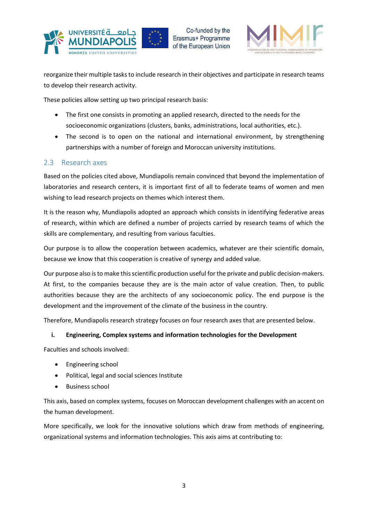



reorganize their multiple tasks to include research in their objectives and participate in research teams to develop their research activity.

These policies allow setting up two principal research basis:

- The first one consists in promoting an applied research, directed to the needs for the socioeconomic organizations (clusters, banks, administrations, local authorities, etc.).
- The second is to open on the national and international environment, by strengthening partnerships with a number of foreign and Moroccan university institutions.

### 2.3 Research axes

Based on the policies cited above, Mundiapolis remain convinced that beyond the implementation of laboratories and research centers, it is important first of all to federate teams of women and men wishing to lead research projects on themes which interest them.

It is the reason why, Mundiapolis adopted an approach which consists in identifying federative areas of research, within which are defined a number of projects carried by research teams of which the skills are complementary, and resulting from various faculties.

Our purpose is to allow the cooperation between academics, whatever are their scientific domain, because we know that this cooperation is creative of synergy and added value.

Our purpose also is to make this scientific production useful for the private and public decision-makers. At first, to the companies because they are is the main actor of value creation. Then, to public authorities because they are the architects of any socioeconomic policy. The end purpose is the development and the improvement of the climate of the business in the country.

Therefore, Mundiapolis research strategy focuses on four research axes that are presented below.

#### i. Engineering, Complex systems and information technologies for the Development

Faculties and schools involved:

- Engineering school
- Political, legal and social sciences Institute
- Business school

This axis, based on complex systems, focuses on Moroccan development challenges with an accent on the human development.

More specifically, we look for the innovative solutions which draw from methods of engineering, organizational systems and information technologies. This axis aims at contributing to: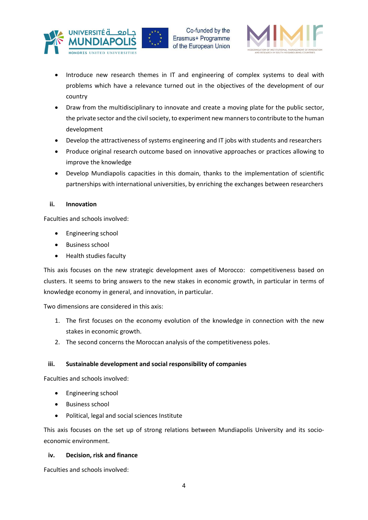



- Introduce new research themes in IT and engineering of complex systems to deal with problems which have a relevance turned out in the objectives of the development of our country
- Draw from the multidisciplinary to innovate and create a moving plate for the public sector, the private sector and the civil society, to experiment new manners to contribute to the human development
- Develop the attractiveness of systems engineering and IT jobs with students and researchers
- Produce original research outcome based on innovative approaches or practices allowing to improve the knowledge
- Develop Mundiapolis capacities in this domain, thanks to the implementation of scientific partnerships with international universities, by enriching the exchanges between researchers

#### ii. Innovation

Faculties and schools involved:

- Engineering school
- Business school
- Health studies faculty

This axis focuses on the new strategic development axes of Morocco: competitiveness based on clusters. It seems to bring answers to the new stakes in economic growth, in particular in terms of knowledge economy in general, and innovation, in particular.

Two dimensions are considered in this axis:

- 1. The first focuses on the economy evolution of the knowledge in connection with the new stakes in economic growth.
- 2. The second concerns the Moroccan analysis of the competitiveness poles.

#### iii. Sustainable development and social responsibility of companies

Faculties and schools involved:

- Engineering school
- Business school
- Political, legal and social sciences Institute

This axis focuses on the set up of strong relations between Mundiapolis University and its socioeconomic environment.

#### iv. Decision, risk and finance

Faculties and schools involved: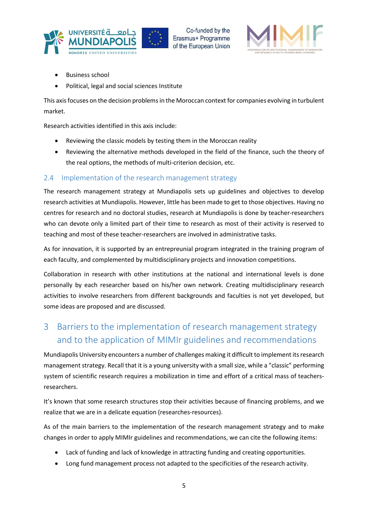



- Business school
- Political, legal and social sciences Institute

This axis focuses on the decision problems in the Moroccan context for companies evolving in turbulent market.

Research activities identified in this axis include:

- Reviewing the classic models by testing them in the Moroccan reality
- Reviewing the alternative methods developed in the field of the finance, such the theory of the real options, the methods of multi-criterion decision, etc.

#### 2.4 Implementation of the research management strategy

The research management strategy at Mundiapolis sets up guidelines and objectives to develop research activities at Mundiapolis. However, little has been made to get to those objectives. Having no centres for research and no doctoral studies, research at Mundiapolis is done by teacher-researchers who can devote only a limited part of their time to research as most of their activity is reserved to teaching and most of these teacher-researchers are involved in administrative tasks.

As for innovation, it is supported by an entrepreunial program integrated in the training program of each faculty, and complemented by multidisciplinary projects and innovation competitions.

Collaboration in research with other institutions at the national and international levels is done personally by each researcher based on his/her own network. Creating multidisciplinary research activities to involve researchers from different backgrounds and faculties is not yet developed, but some ideas are proposed and are discussed.

## 3 Barriers to the implementation of research management strategy and to the application of MIMIr guidelines and recommendations

Mundiapolis University encounters a number of challenges making it difficult to implement its research management strategy. Recall that it is a young university with a small size, while a "classic" performing system of scientific research requires a mobilization in time and effort of a critical mass of teachersresearchers.

It's known that some research structures stop their activities because of financing problems, and we realize that we are in a delicate equation (researches-resources).

As of the main barriers to the implementation of the research management strategy and to make changes in order to apply MIMIr guidelines and recommendations, we can cite the following items:

- Lack of funding and lack of knowledge in attracting funding and creating opportunities.
- Long fund management process not adapted to the specificities of the research activity.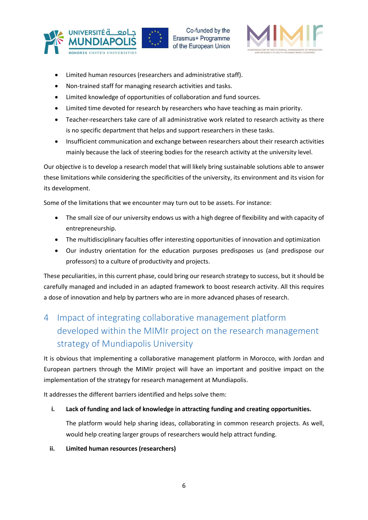



- Limited human resources (researchers and administrative staff).
- Non-trained staff for managing research activities and tasks.
- Limited knowledge of opportunities of collaboration and fund sources.
- Limited time devoted for research by researchers who have teaching as main priority.
- Teacher-researchers take care of all administrative work related to research activity as there is no specific department that helps and support researchers in these tasks.
- Insufficient communication and exchange between researchers about their research activities mainly because the lack of steering bodies for the research activity at the university level.

Our objective is to develop a research model that will likely bring sustainable solutions able to answer these limitations while considering the specificities of the university, its environment and its vision for its development.

Some of the limitations that we encounter may turn out to be assets. For instance:

- The small size of our university endows us with a high degree of flexibility and with capacity of entrepreneurship.
- The multidisciplinary faculties offer interesting opportunities of innovation and optimization
- Our industry orientation for the education purposes predisposes us (and predispose our professors) to a culture of productivity and projects.

These peculiarities, in this current phase, could bring our research strategy to success, but it should be carefully managed and included in an adapted framework to boost research activity. All this requires a dose of innovation and help by partners who are in more advanced phases of research.

# 4 Impact of integrating collaborative management platform developed within the MIMIr project on the research management strategy of Mundiapolis University

It is obvious that implementing a collaborative management platform in Morocco, with Jordan and European partners through the MIMIr project will have an important and positive impact on the implementation of the strategy for research management at Mundiapolis.

It addresses the different barriers identified and helps solve them:

#### i. Lack of funding and lack of knowledge in attracting funding and creating opportunities.

The platform would help sharing ideas, collaborating in common research projects. As well, would help creating larger groups of researchers would help attract funding.

#### ii. Limited human resources (researchers)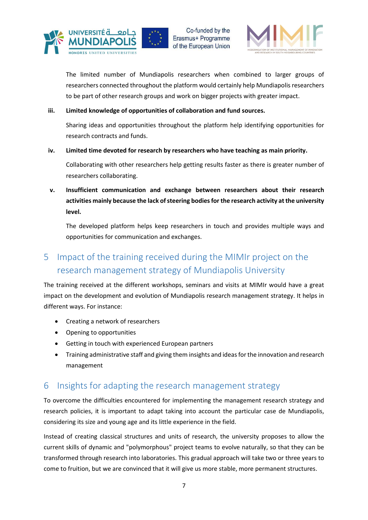



The limited number of Mundiapolis researchers when combined to larger groups of researchers connected throughout the platform would certainly help Mundiapolis researchers to be part of other research groups and work on bigger projects with greater impact.

#### iii. Limited knowledge of opportunities of collaboration and fund sources.

Sharing ideas and opportunities throughout the platform help identifying opportunities for research contracts and funds.

#### iv. Limited time devoted for research by researchers who have teaching as main priority.

Collaborating with other researchers help getting results faster as there is greater number of researchers collaborating.

v. Insufficient communication and exchange between researchers about their research activities mainly because the lack of steering bodies for the research activity at the university level.

The developed platform helps keep researchers in touch and provides multiple ways and opportunities for communication and exchanges.

## 5 Impact of the training received during the MIMIr project on the research management strategy of Mundiapolis University

The training received at the different workshops, seminars and visits at MIMIr would have a great impact on the development and evolution of Mundiapolis research management strategy. It helps in different ways. For instance:

- Creating a network of researchers
- Opening to opportunities
- Getting in touch with experienced European partners
- Training administrative staff and giving them insights and ideas for the innovation and research management

## 6 Insights for adapting the research management strategy

To overcome the difficulties encountered for implementing the management research strategy and research policies, it is important to adapt taking into account the particular case de Mundiapolis, considering its size and young age and its little experience in the field.

Instead of creating classical structures and units of research, the university proposes to allow the current skills of dynamic and "polymorphous" project teams to evolve naturally, so that they can be transformed through research into laboratories. This gradual approach will take two or three years to come to fruition, but we are convinced that it will give us more stable, more permanent structures.